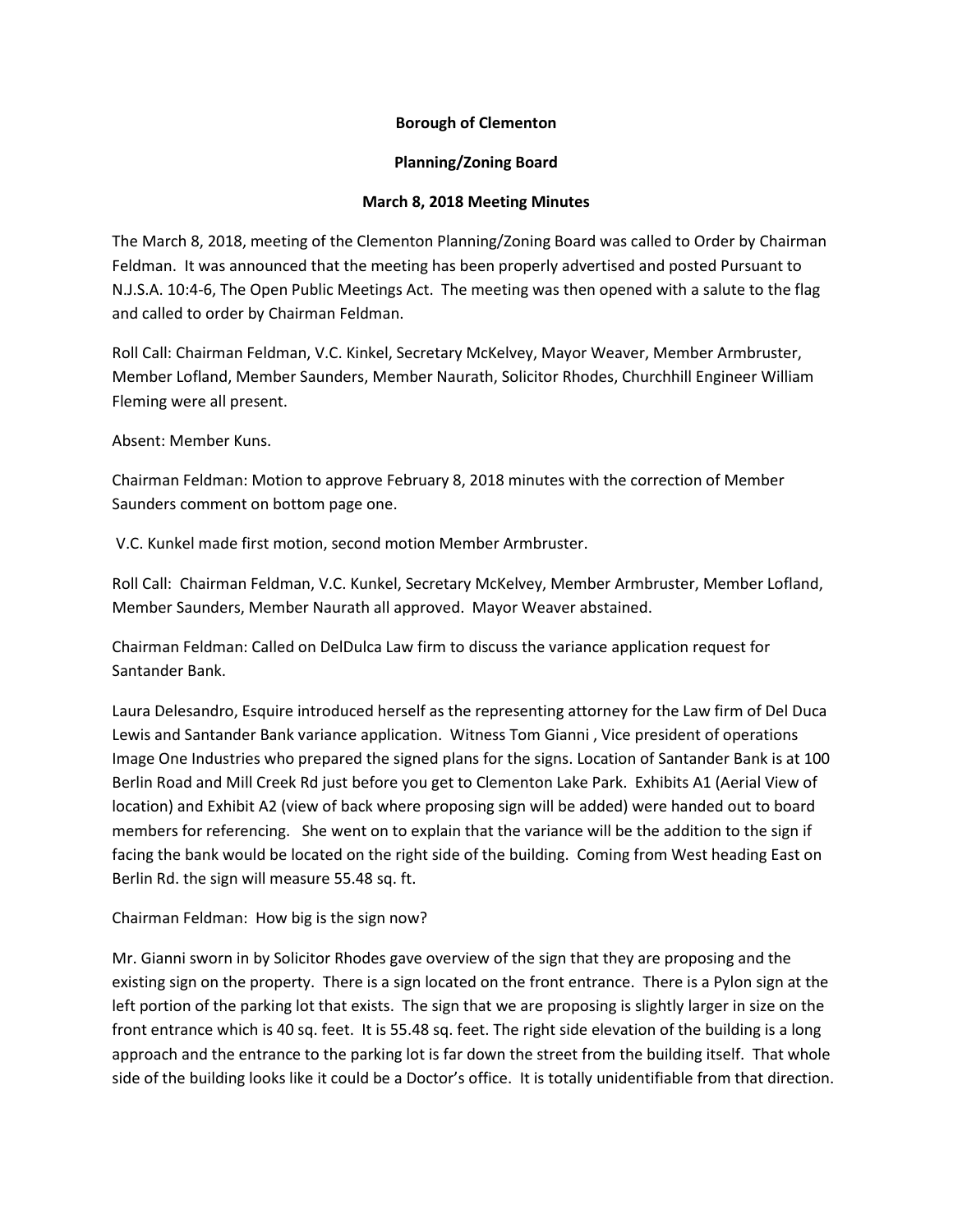## **Borough of Clementon**

## **Planning/Zoning Board**

## **March 8, 2018 Meeting Minutes**

The March 8, 2018, meeting of the Clementon Planning/Zoning Board was called to Order by Chairman Feldman. It was announced that the meeting has been properly advertised and posted Pursuant to N.J.S.A. 10:4-6, The Open Public Meetings Act. The meeting was then opened with a salute to the flag and called to order by Chairman Feldman.

Roll Call: Chairman Feldman, V.C. Kinkel, Secretary McKelvey, Mayor Weaver, Member Armbruster, Member Lofland, Member Saunders, Member Naurath, Solicitor Rhodes, Churchhill Engineer William Fleming were all present.

Absent: Member Kuns.

Chairman Feldman: Motion to approve February 8, 2018 minutes with the correction of Member Saunders comment on bottom page one.

V.C. Kunkel made first motion, second motion Member Armbruster.

Roll Call: Chairman Feldman, V.C. Kunkel, Secretary McKelvey, Member Armbruster, Member Lofland, Member Saunders, Member Naurath all approved. Mayor Weaver abstained.

Chairman Feldman: Called on DelDulca Law firm to discuss the variance application request for Santander Bank.

Laura Delesandro, Esquire introduced herself as the representing attorney for the Law firm of Del Duca Lewis and Santander Bank variance application. Witness Tom Gianni , Vice president of operations Image One Industries who prepared the signed plans for the signs. Location of Santander Bank is at 100 Berlin Road and Mill Creek Rd just before you get to Clementon Lake Park. Exhibits A1 (Aerial View of location) and Exhibit A2 (view of back where proposing sign will be added) were handed out to board members for referencing. She went on to explain that the variance will be the addition to the sign if facing the bank would be located on the right side of the building. Coming from West heading East on Berlin Rd. the sign will measure 55.48 sq. ft.

Chairman Feldman: How big is the sign now?

Mr. Gianni sworn in by Solicitor Rhodes gave overview of the sign that they are proposing and the existing sign on the property. There is a sign located on the front entrance. There is a Pylon sign at the left portion of the parking lot that exists. The sign that we are proposing is slightly larger in size on the front entrance which is 40 sq. feet. It is 55.48 sq. feet. The right side elevation of the building is a long approach and the entrance to the parking lot is far down the street from the building itself. That whole side of the building looks like it could be a Doctor's office. It is totally unidentifiable from that direction.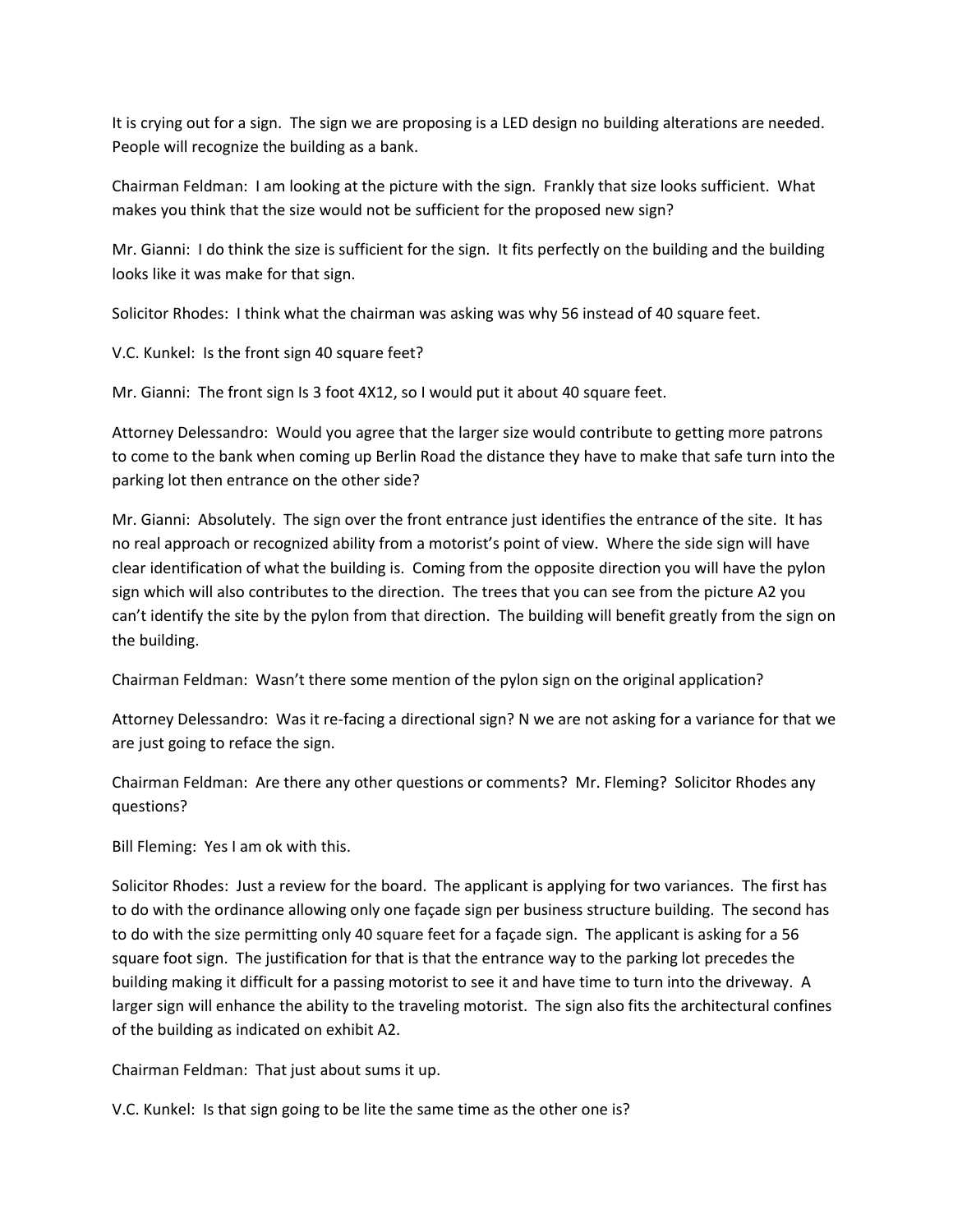It is crying out for a sign. The sign we are proposing is a LED design no building alterations are needed. People will recognize the building as a bank.

Chairman Feldman: I am looking at the picture with the sign. Frankly that size looks sufficient. What makes you think that the size would not be sufficient for the proposed new sign?

Mr. Gianni: I do think the size is sufficient for the sign. It fits perfectly on the building and the building looks like it was make for that sign.

Solicitor Rhodes: I think what the chairman was asking was why 56 instead of 40 square feet.

V.C. Kunkel: Is the front sign 40 square feet?

Mr. Gianni: The front sign Is 3 foot 4X12, so I would put it about 40 square feet.

Attorney Delessandro: Would you agree that the larger size would contribute to getting more patrons to come to the bank when coming up Berlin Road the distance they have to make that safe turn into the parking lot then entrance on the other side?

Mr. Gianni: Absolutely. The sign over the front entrance just identifies the entrance of the site. It has no real approach or recognized ability from a motorist's point of view. Where the side sign will have clear identification of what the building is. Coming from the opposite direction you will have the pylon sign which will also contributes to the direction. The trees that you can see from the picture A2 you can't identify the site by the pylon from that direction. The building will benefit greatly from the sign on the building.

Chairman Feldman: Wasn't there some mention of the pylon sign on the original application?

Attorney Delessandro: Was it re-facing a directional sign? N we are not asking for a variance for that we are just going to reface the sign.

Chairman Feldman: Are there any other questions or comments? Mr. Fleming? Solicitor Rhodes any questions?

Bill Fleming: Yes I am ok with this.

Solicitor Rhodes: Just a review for the board. The applicant is applying for two variances. The first has to do with the ordinance allowing only one façade sign per business structure building. The second has to do with the size permitting only 40 square feet for a façade sign. The applicant is asking for a 56 square foot sign. The justification for that is that the entrance way to the parking lot precedes the building making it difficult for a passing motorist to see it and have time to turn into the driveway. A larger sign will enhance the ability to the traveling motorist. The sign also fits the architectural confines of the building as indicated on exhibit A2.

Chairman Feldman: That just about sums it up.

V.C. Kunkel: Is that sign going to be lite the same time as the other one is?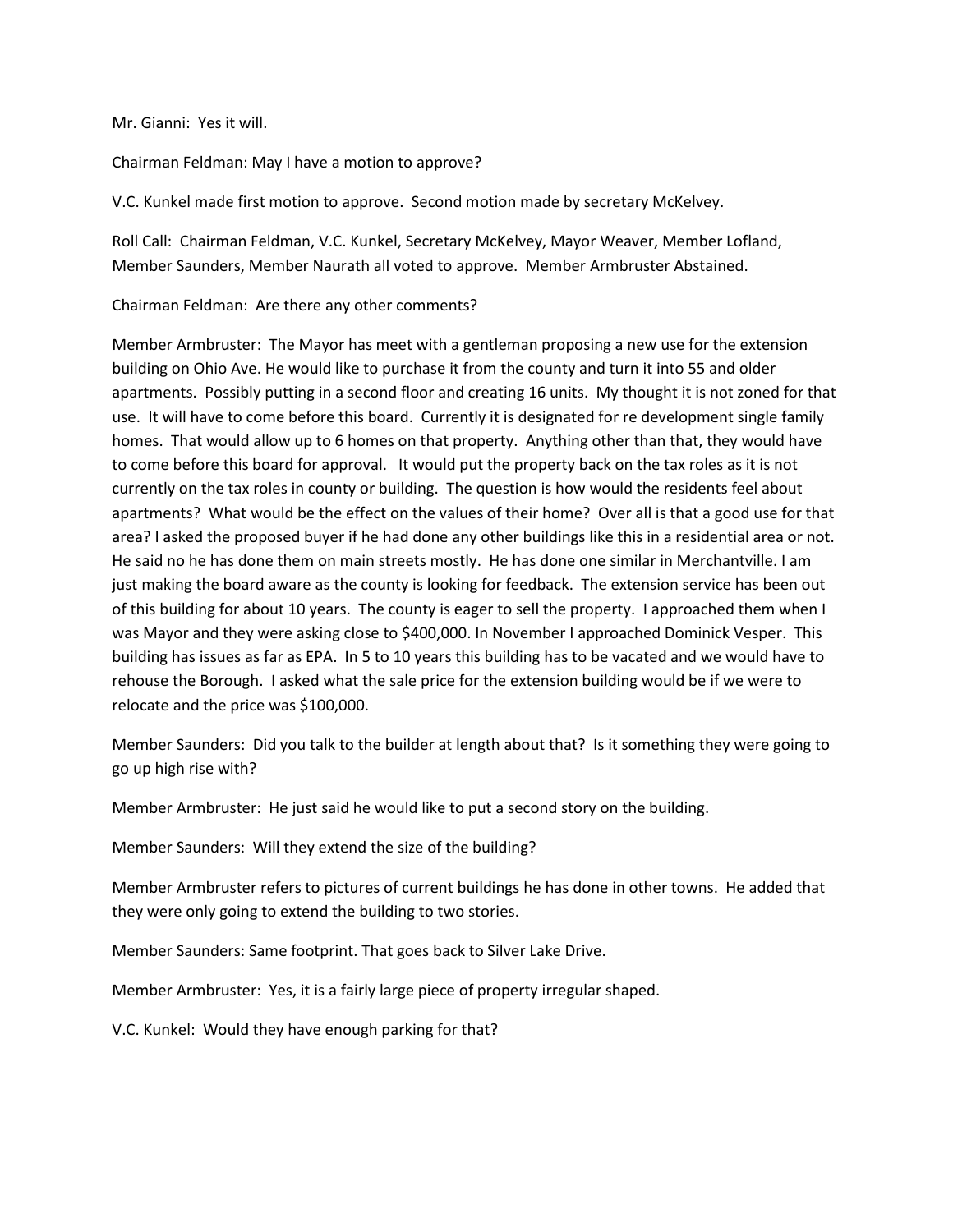Mr. Gianni: Yes it will.

Chairman Feldman: May I have a motion to approve?

V.C. Kunkel made first motion to approve. Second motion made by secretary McKelvey.

Roll Call: Chairman Feldman, V.C. Kunkel, Secretary McKelvey, Mayor Weaver, Member Lofland, Member Saunders, Member Naurath all voted to approve. Member Armbruster Abstained.

Chairman Feldman: Are there any other comments?

Member Armbruster: The Mayor has meet with a gentleman proposing a new use for the extension building on Ohio Ave. He would like to purchase it from the county and turn it into 55 and older apartments. Possibly putting in a second floor and creating 16 units. My thought it is not zoned for that use. It will have to come before this board. Currently it is designated for re development single family homes. That would allow up to 6 homes on that property. Anything other than that, they would have to come before this board for approval. It would put the property back on the tax roles as it is not currently on the tax roles in county or building. The question is how would the residents feel about apartments? What would be the effect on the values of their home? Over all is that a good use for that area? I asked the proposed buyer if he had done any other buildings like this in a residential area or not. He said no he has done them on main streets mostly. He has done one similar in Merchantville. I am just making the board aware as the county is looking for feedback. The extension service has been out of this building for about 10 years. The county is eager to sell the property. I approached them when I was Mayor and they were asking close to \$400,000. In November I approached Dominick Vesper. This building has issues as far as EPA. In 5 to 10 years this building has to be vacated and we would have to rehouse the Borough. I asked what the sale price for the extension building would be if we were to relocate and the price was \$100,000.

Member Saunders: Did you talk to the builder at length about that? Is it something they were going to go up high rise with?

Member Armbruster: He just said he would like to put a second story on the building.

Member Saunders: Will they extend the size of the building?

Member Armbruster refers to pictures of current buildings he has done in other towns. He added that they were only going to extend the building to two stories.

Member Saunders: Same footprint. That goes back to Silver Lake Drive.

Member Armbruster: Yes, it is a fairly large piece of property irregular shaped.

V.C. Kunkel: Would they have enough parking for that?